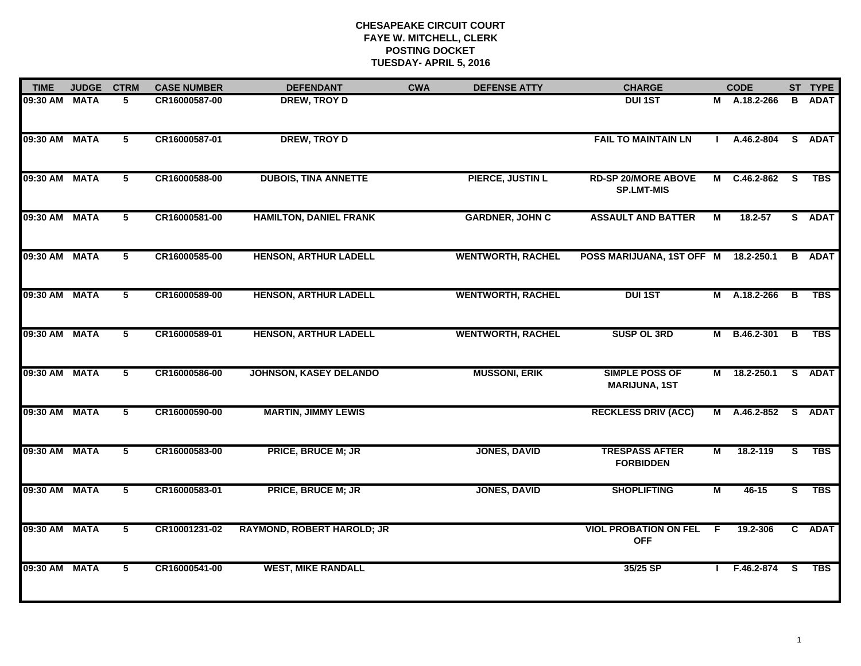| <b>TIME</b>   | <b>JUDGE</b> | <b>CTRM</b>             | <b>CASE NUMBER</b> | <b>DEFENDANT</b>                  | <b>CWA</b> | <b>DEFENSE ATTY</b>      | <b>CHARGE</b>                                   |    | <b>CODE</b>    |                         | ST TYPE     |
|---------------|--------------|-------------------------|--------------------|-----------------------------------|------------|--------------------------|-------------------------------------------------|----|----------------|-------------------------|-------------|
| 09:30 AM MATA |              | 5                       | CR16000587-00      | <b>DREW, TROY D</b>               |            |                          | <b>DUI 1ST</b>                                  |    | M A.18.2-266   | B                       | <b>ADAT</b> |
| 09:30 AM      | <b>MATA</b>  | $\overline{5}$          | CR16000587-01      | <b>DREW, TROY D</b>               |            |                          | <b>FAIL TO MAINTAIN LN</b>                      |    | A.46.2-804     | $\overline{\mathbf{s}}$ | <b>ADAT</b> |
| 09:30 AM      | <b>MATA</b>  | $\overline{5}$          | CR16000588-00      | <b>DUBOIS, TINA ANNETTE</b>       |            | <b>PIERCE, JUSTIN L</b>  | <b>RD-SP 20/MORE ABOVE</b><br><b>SP.LMT-MIS</b> | M  | $C.46.2 - 862$ | $\overline{\mathbf{s}}$ | <b>TBS</b>  |
| 09:30 AM      | <b>MATA</b>  | 5                       | CR16000581-00      | <b>HAMILTON, DANIEL FRANK</b>     |            | <b>GARDNER, JOHN C</b>   | <b>ASSAULT AND BATTER</b>                       | M  | $18.2 - 57$    |                         | S ADAT      |
| 09:30 AM      | <b>MATA</b>  | $\overline{\mathbf{5}}$ | CR16000585-00      | <b>HENSON, ARTHUR LADELL</b>      |            | <b>WENTWORTH, RACHEL</b> | POSS MARIJUANA, 1ST OFF M                       |    | 18.2-250.1     | B                       | <b>ADAT</b> |
| 09:30 AM MATA |              | $5\phantom{.0}$         | CR16000589-00      | <b>HENSON, ARTHUR LADELL</b>      |            | <b>WENTWORTH, RACHEL</b> | <b>DUI 1ST</b>                                  |    | M A.18.2-266   | В                       | <b>TBS</b>  |
| 09:30 AM      | <b>MATA</b>  | $5\phantom{.0}$         | CR16000589-01      | <b>HENSON, ARTHUR LADELL</b>      |            | <b>WENTWORTH, RACHEL</b> | <b>SUSP OL 3RD</b>                              | М  | B.46.2-301     | В                       | <b>TBS</b>  |
| 09:30 AM      | <b>MATA</b>  | $\overline{5}$          | CR16000586-00      | <b>JOHNSON, KASEY DELANDO</b>     |            | <b>MUSSONI, ERIK</b>     | <b>SIMPLE POSS OF</b><br><b>MARIJUNA, 1ST</b>   | M  | 18.2-250.1     |                         | S ADAT      |
| 09:30 AM      | <b>MATA</b>  | 5                       | CR16000590-00      | <b>MARTIN, JIMMY LEWIS</b>        |            |                          | <b>RECKLESS DRIV (ACC)</b>                      | М  | A.46.2-852     |                         | S ADAT      |
| 09:30 AM      | <b>MATA</b>  | 5                       | CR16000583-00      | <b>PRICE, BRUCE M; JR</b>         |            | <b>JONES, DAVID</b>      | <b>TRESPASS AFTER</b><br><b>FORBIDDEN</b>       | M  | 18.2-119       | S.                      | <b>TBS</b>  |
| 09:30 AM MATA |              | 5                       | CR16000583-01      | <b>PRICE, BRUCE M; JR</b>         |            | <b>JONES, DAVID</b>      | <b>SHOPLIFTING</b>                              | M  | $46 - 15$      | S.                      | <b>TBS</b>  |
| 09:30 AM      | <b>MATA</b>  | $\overline{5}$          | CR10001231-02      | <b>RAYMOND, ROBERT HAROLD; JR</b> |            |                          | <b>VIOL PROBATION ON FEL</b><br><b>OFF</b>      | -F | 19.2-306       | $\overline{c}$          | <b>ADAT</b> |
| 09:30 AM      | <b>MATA</b>  | $\overline{5}$          | CR16000541-00      | <b>WEST, MIKE RANDALL</b>         |            |                          | 35/25 SP                                        |    | F.46.2-874     | <b>S</b>                | <b>TBS</b>  |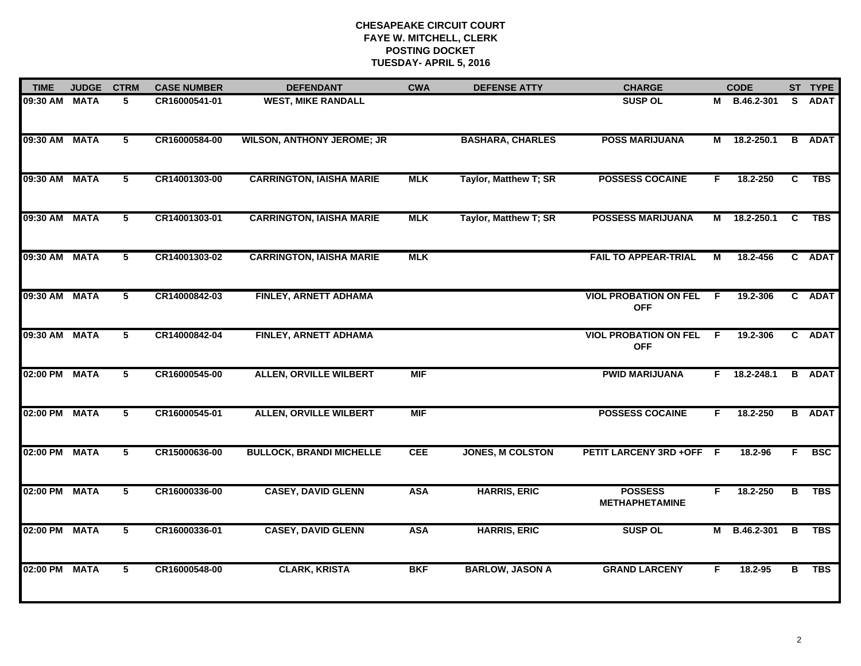| <b>TIME</b>   | <b>JUDGE</b> | <b>CTRM</b> | <b>CASE NUMBER</b> | <b>DEFENDANT</b>                  | <b>CWA</b> | <b>DEFENSE ATTY</b>          | <b>CHARGE</b>                              |     | <b>CODE</b>    |          | ST TYPE       |
|---------------|--------------|-------------|--------------------|-----------------------------------|------------|------------------------------|--------------------------------------------|-----|----------------|----------|---------------|
| 09:30 AM MATA |              | 5           | CR16000541-01      | <b>WEST, MIKE RANDALL</b>         |            |                              | <b>SUSP OL</b>                             |     | M B.46.2-301   |          | S ADAT        |
| 09:30 AM      | <b>MATA</b>  | 5           | CR16000584-00      | <b>WILSON, ANTHONY JEROME; JR</b> |            | <b>BASHARA, CHARLES</b>      | <b>POSS MARIJUANA</b>                      |     | M 18.2-250.1   |          | <b>B</b> ADAT |
| 09:30 AM      | <b>MATA</b>  | $5^{\circ}$ | CR14001303-00      | <b>CARRINGTON, IAISHA MARIE</b>   | <b>MLK</b> | Taylor, Matthew T; SR        | <b>POSSESS COCAINE</b>                     | F.  | 18.2-250       | C        | <b>TBS</b>    |
| 09:30 AM MATA |              | 5           | CR14001303-01      | <b>CARRINGTON, IAISHA MARIE</b>   | <b>MLK</b> | <b>Taylor, Matthew T; SR</b> | <b>POSSESS MARIJUANA</b>                   | М   | 18.2-250.1     | <b>C</b> | <b>TBS</b>    |
| 09:30 AM MATA |              | 5           | CR14001303-02      | <b>CARRINGTON, IAISHA MARIE</b>   | <b>MLK</b> |                              | <b>FAIL TO APPEAR-TRIAL</b>                | М   | 18.2-456       |          | C ADAT        |
| 09:30 AM MATA |              | 5           | CR14000842-03      | FINLEY, ARNETT ADHAMA             |            |                              | <b>VIOL PROBATION ON FEL</b><br><b>OFF</b> | - F | 19.2-306       |          | C ADAT        |
| 09:30 AM      | <b>MATA</b>  | $5^{\circ}$ | CR14000842-04      | <b>FINLEY, ARNETT ADHAMA</b>      |            |                              | <b>VIOL PROBATION ON FEL</b><br><b>OFF</b> | F.  | 19.2-306       |          | C ADAT        |
| 02:00 PM      | <b>MATA</b>  | 5           | CR16000545-00      | <b>ALLEN, ORVILLE WILBERT</b>     | <b>MIF</b> |                              | <b>PWID MARIJUANA</b>                      |     | $F$ 18.2-248.1 |          | <b>B</b> ADAT |
| 02:00 PM      | <b>MATA</b>  | 5           | CR16000545-01      | <b>ALLEN, ORVILLE WILBERT</b>     | <b>MIF</b> |                              | <b>POSSESS COCAINE</b>                     | F.  | 18.2-250       |          | <b>B</b> ADAT |
| 02:00 PM MATA |              | 5           | CR15000636-00      | <b>BULLOCK, BRANDI MICHELLE</b>   | <b>CEE</b> | <b>JONES, M COLSTON</b>      | PETIT LARCENY 3RD +OFF F                   |     | 18.2-96        | F.       | <b>BSC</b>    |
| 02:00 PM MATA |              | 5           | CR16000336-00      | <b>CASEY, DAVID GLENN</b>         | <b>ASA</b> | <b>HARRIS, ERIC</b>          | <b>POSSESS</b><br><b>METHAPHETAMINE</b>    | F.  | 18.2-250       | в        | <b>TBS</b>    |
| 02:00 PM MATA |              | 5           | CR16000336-01      | <b>CASEY, DAVID GLENN</b>         | <b>ASA</b> | <b>HARRIS, ERIC</b>          | <b>SUSP OL</b>                             |     | M B.46.2-301 B |          | <b>TBS</b>    |
| 02:00 PM      | <b>MATA</b>  | 5           | CR16000548-00      | <b>CLARK, KRISTA</b>              | <b>BKF</b> | <b>BARLOW, JASON A</b>       | <b>GRAND LARCENY</b>                       | F   | $18.2 - 95$    | в        | <b>TBS</b>    |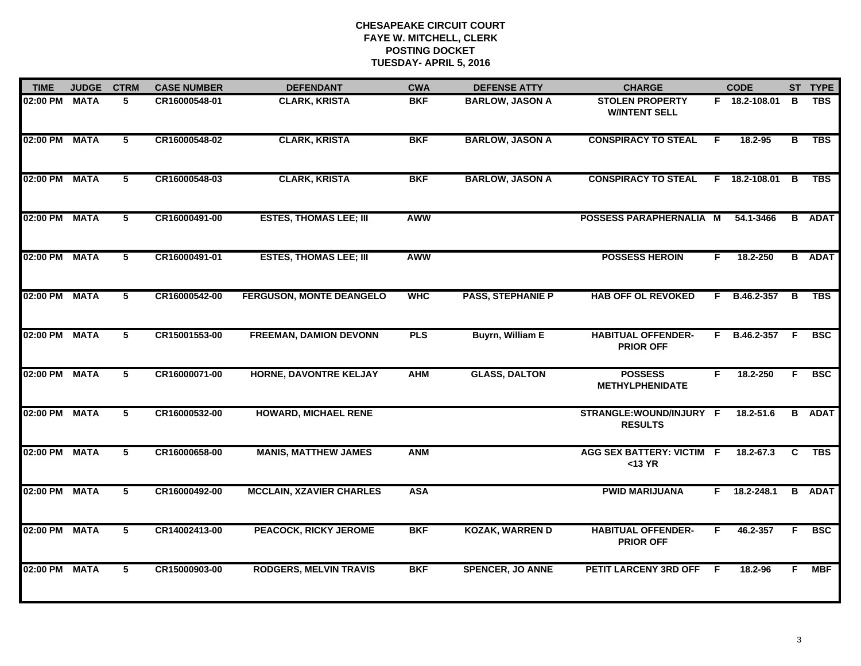| <b>TIME</b>   | <b>JUDGE</b> | <b>CTRM</b>    | <b>CASE NUMBER</b> | <b>DEFENDANT</b>                | <b>CWA</b> | <b>DEFENSE ATTY</b>      | <b>CHARGE</b>                                  |    | <b>CODE</b>    |    | ST TYPE       |
|---------------|--------------|----------------|--------------------|---------------------------------|------------|--------------------------|------------------------------------------------|----|----------------|----|---------------|
| 02:00 PM      | <b>MATA</b>  | 5              | CR16000548-01      | <b>CLARK, KRISTA</b>            | <b>BKF</b> | <b>BARLOW, JASON A</b>   | <b>STOLEN PROPERTY</b><br><b>W/INTENT SELL</b> |    | F 18.2-108.01  | B  | <b>TBS</b>    |
| 02:00 PM      | <b>MATA</b>  | $5^{\circ}$    | CR16000548-02      | <b>CLARK, KRISTA</b>            | <b>BKF</b> | <b>BARLOW, JASON A</b>   | <b>CONSPIRACY TO STEAL</b>                     | F  | 18.2-95        | в  | <b>TBS</b>    |
| 02:00 PM      | <b>MATA</b>  | $\overline{5}$ | CR16000548-03      | <b>CLARK, KRISTA</b>            | <b>BKF</b> | <b>BARLOW, JASON A</b>   | <b>CONSPIRACY TO STEAL</b>                     |    | F 18.2-108.01  | B  | <b>TBS</b>    |
| 02:00 PM      | <b>MATA</b>  | 5              | CR16000491-00      | <b>ESTES, THOMAS LEE; III</b>   | <b>AWW</b> |                          | POSSESS PARAPHERNALIA M                        |    | 54.1-3466      |    | <b>B</b> ADAT |
| 02:00 PM      | <b>MATA</b>  | 5              | CR16000491-01      | <b>ESTES, THOMAS LEE; III</b>   | <b>AWW</b> |                          | <b>POSSESS HEROIN</b>                          | F. | 18.2-250       |    | <b>B</b> ADAT |
| 02:00 PM MATA |              | 5              | CR16000542-00      | <b>FERGUSON, MONTE DEANGELO</b> | <b>WHC</b> | <b>PASS, STEPHANIE P</b> | <b>HAB OFF OL REVOKED</b>                      |    | F B.46.2-357   | B  | <b>TBS</b>    |
| 02:00 PM MATA |              | 5              | CR15001553-00      | <b>FREEMAN, DAMION DEVONN</b>   | <b>PLS</b> | <b>Buyrn, William E</b>  | <b>HABITUAL OFFENDER-</b><br><b>PRIOR OFF</b>  |    | F B.46.2-357 F |    | <b>BSC</b>    |
| 02:00 PM MATA |              | 5              | CR16000071-00      | HORNE, DAVONTRE KELJAY          | <b>AHM</b> | <b>GLASS, DALTON</b>     | <b>POSSESS</b><br><b>METHYLPHENIDATE</b>       | F. | 18.2-250       | F. | <b>BSC</b>    |
| 02:00 PM MATA |              | 5              | CR16000532-00      | <b>HOWARD, MICHAEL RENE</b>     |            |                          | STRANGLE:WOUND/INJURY F<br><b>RESULTS</b>      |    | 18.2-51.6      |    | <b>B</b> ADAT |
| 02:00 PM MATA |              | 5              | CR16000658-00      | <b>MANIS, MATTHEW JAMES</b>     | <b>ANM</b> |                          | <b>AGG SEX BATTERY: VICTIM F</b><br>$<$ 13 YR  |    | 18.2-67.3      | C  | <b>TBS</b>    |
| 02:00 PM MATA |              | $\overline{5}$ | CR16000492-00      | <b>MCCLAIN, XZAVIER CHARLES</b> | <b>ASA</b> |                          | <b>PWID MARIJUANA</b>                          | F. | $18.2 - 248.1$ |    | <b>B</b> ADAT |
| 02:00 PM      | <b>MATA</b>  | $\overline{5}$ | CR14002413-00      | <b>PEACOCK, RICKY JEROME</b>    | <b>BKF</b> | <b>KOZAK, WARREN D</b>   | <b>HABITUAL OFFENDER-</b><br><b>PRIOR OFF</b>  | F  | 46.2-357       | F  | <b>BSC</b>    |
| 02:00 PM      | <b>MATA</b>  | 5              | CR15000903-00      | <b>RODGERS, MELVIN TRAVIS</b>   | <b>BKF</b> | <b>SPENCER, JO ANNE</b>  | PETIT LARCENY 3RD OFF                          | -F | 18.2-96        | F. | <b>MBF</b>    |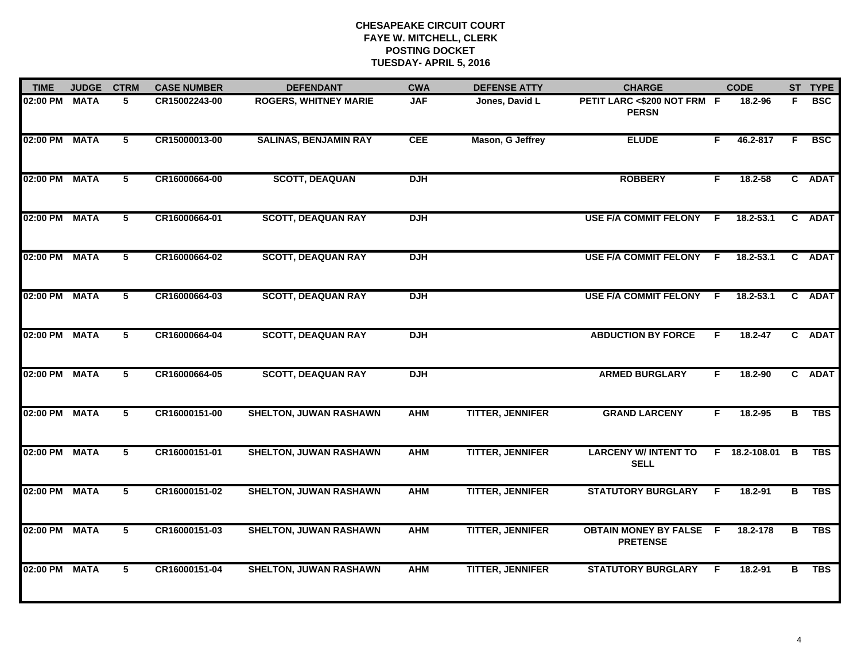| <b>TIME</b>   | <b>JUDGE</b> | <b>CTRM</b>    | <b>CASE NUMBER</b> | <b>DEFENDANT</b>              | <b>CWA</b> | <b>DEFENSE ATTY</b>     | <b>CHARGE</b>                                     |    | <b>CODE</b>   |                         | ST TYPE     |
|---------------|--------------|----------------|--------------------|-------------------------------|------------|-------------------------|---------------------------------------------------|----|---------------|-------------------------|-------------|
| 02:00 PM      | <b>MATA</b>  | 5              | CR15002243-00      | <b>ROGERS, WHITNEY MARIE</b>  | <b>JAF</b> | Jones, David L          | PETIT LARC <\$200 NOT FRM F<br><b>PERSN</b>       |    | 18.2-96       | F.                      | <b>BSC</b>  |
| 02:00 PM      | <b>MATA</b>  | $5^{\circ}$    | CR15000013-00      | <b>SALINAS, BENJAMIN RAY</b>  | <b>CEE</b> | Mason, G Jeffrey        | <b>ELUDE</b>                                      | F. | 46.2-817      | F.                      | <b>BSC</b>  |
| 02:00 PM      | <b>MATA</b>  | 5              | CR16000664-00      | <b>SCOTT, DEAQUAN</b>         | <b>DJH</b> |                         | <b>ROBBERY</b>                                    | F. | 18.2-58       |                         | C ADAT      |
| 02:00 PM      | <b>MATA</b>  | 5              | CR16000664-01      | <b>SCOTT, DEAQUAN RAY</b>     | <b>DJH</b> |                         | <b>USE F/A COMMIT FELONY</b>                      | F. | 18.2-53.1     | $\mathbf{c}$            | <b>ADAT</b> |
| 02:00 PM      | <b>MATA</b>  | 5              | CR16000664-02      | <b>SCOTT, DEAQUAN RAY</b>     | <b>DJH</b> |                         | <b>USE F/A COMMIT FELONY</b>                      | F. | $18.2 - 53.1$ | C.                      | <b>ADAT</b> |
| 02:00 PM MATA |              | $5^{\circ}$    | CR16000664-03      | <b>SCOTT, DEAQUAN RAY</b>     | <b>DJH</b> |                         | <b>USE F/A COMMIT FELONY</b>                      | -F | $18.2 - 53.1$ | $\mathbf{c}$            | <b>ADAT</b> |
| 02:00 PM MATA |              | $\overline{5}$ | CR16000664-04      | <b>SCOTT, DEAQUAN RAY</b>     | <b>DJH</b> |                         | <b>ABDUCTION BY FORCE</b>                         | F. | $18.2 - 47$   |                         | C ADAT      |
| 02:00 PM MATA |              | 5              | CR16000664-05      | <b>SCOTT, DEAQUAN RAY</b>     | <b>DJH</b> |                         | <b>ARMED BURGLARY</b>                             | F. | 18.2-90       |                         | C ADAT      |
| 02:00 PM MATA |              | 5              | CR16000151-00      | <b>SHELTON, JUWAN RASHAWN</b> | <b>AHM</b> | <b>TITTER, JENNIFER</b> | <b>GRAND LARCENY</b>                              | F  | 18.2-95       | в                       | <b>TBS</b>  |
| 02:00 PM MATA |              | 5              | CR16000151-01      | <b>SHELTON, JUWAN RASHAWN</b> | <b>AHM</b> | <b>TITTER, JENNIFER</b> | <b>LARCENY W/ INTENT TO</b><br><b>SELL</b>        |    | F 18.2-108.01 | $\overline{B}$          | <b>TBS</b>  |
| 02:00 PM      | <b>MATA</b>  | $\overline{5}$ | CR16000151-02      | <b>SHELTON, JUWAN RASHAWN</b> | <b>AHM</b> | <b>TITTER, JENNIFER</b> | <b>STATUTORY BURGLARY</b>                         | F. | 18.2-91       | $\overline{\mathbf{B}}$ | <b>TBS</b>  |
| 02:00 PM      | <b>MATA</b>  | $\overline{5}$ | CR16000151-03      | <b>SHELTON, JUWAN RASHAWN</b> | <b>AHM</b> | <b>TITTER, JENNIFER</b> | <b>OBTAIN MONEY BY FALSE F</b><br><b>PRETENSE</b> |    | 18.2-178      | В                       | <b>TBS</b>  |
| 02:00 PM      | <b>MATA</b>  | 5              | CR16000151-04      | <b>SHELTON, JUWAN RASHAWN</b> | <b>AHM</b> | <b>TITTER, JENNIFER</b> | <b>STATUTORY BURGLARY</b>                         | F  | 18.2-91       | B                       | <b>TBS</b>  |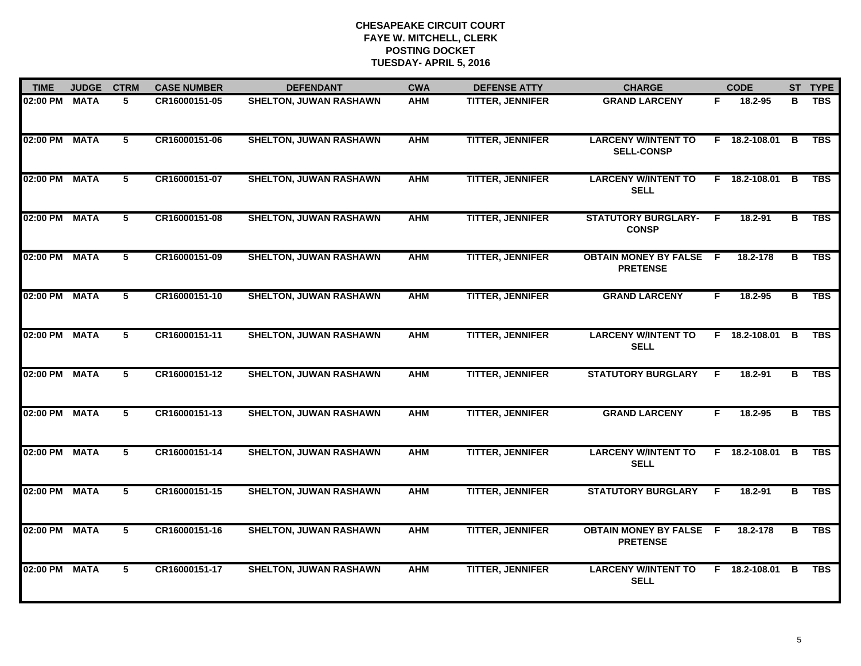| <b>TIME</b>   | <b>JUDGE</b> | <b>CTRM</b>     | <b>CASE NUMBER</b> | <b>DEFENDANT</b>              | <b>CWA</b> | <b>DEFENSE ATTY</b>     | <b>CHARGE</b>                                   |     | <b>CODE</b>     |   | ST TYPE          |
|---------------|--------------|-----------------|--------------------|-------------------------------|------------|-------------------------|-------------------------------------------------|-----|-----------------|---|------------------|
| 02:00 PM      | <b>MATA</b>  | 5               | CR16000151-05      | <b>SHELTON, JUWAN RASHAWN</b> | <b>AHM</b> | <b>TITTER, JENNIFER</b> | <b>GRAND LARCENY</b>                            | F.  | 18.2-95         | в | <b>TBS</b>       |
| 02:00 PM      | <b>MATA</b>  | $5\overline{ }$ | CR16000151-06      | <b>SHELTON, JUWAN RASHAWN</b> | <b>AHM</b> | <b>TITTER, JENNIFER</b> | <b>LARCENY W/INTENT TO</b><br><b>SELL-CONSP</b> |     | $F$ 18.2-108.01 | в | <b>TBS</b>       |
| 02:00 PM      | <b>MATA</b>  | 5               | CR16000151-07      | <b>SHELTON, JUWAN RASHAWN</b> | <b>AHM</b> | <b>TITTER, JENNIFER</b> | <b>LARCENY W/INTENT TO</b><br><b>SELL</b>       |     | F 18.2-108.01   | в | <b>TBS</b>       |
| 02:00 PM      | <b>MATA</b>  | 5               | CR16000151-08      | <b>SHELTON, JUWAN RASHAWN</b> | <b>AHM</b> | <b>TITTER, JENNIFER</b> | <b>STATUTORY BURGLARY-</b><br><b>CONSP</b>      | F.  | 18.2-91         | в | <b>TBS</b>       |
| 02:00 PM      | <b>MATA</b>  | 5               | CR16000151-09      | <b>SHELTON, JUWAN RASHAWN</b> | <b>AHM</b> | <b>TITTER, JENNIFER</b> | <b>OBTAIN MONEY BY FALSE</b><br><b>PRETENSE</b> | - F | 18.2-178        | в | <b>TBS</b>       |
| 02:00 PM MATA |              | 5               | CR16000151-10      | <b>SHELTON, JUWAN RASHAWN</b> | <b>AHM</b> | <b>TITTER, JENNIFER</b> | <b>GRAND LARCENY</b>                            | F.  | 18.2-95         | в | $\overline{TBS}$ |
| 02:00 PM MATA |              | 5               | CR16000151-11      | <b>SHELTON, JUWAN RASHAWN</b> | <b>AHM</b> | <b>TITTER, JENNIFER</b> | <b>LARCENY W/INTENT TO</b><br><b>SELL</b>       |     | F 18.2-108.01   | B | <b>TBS</b>       |
| 02:00 PM MATA |              | 5               | CR16000151-12      | <b>SHELTON, JUWAN RASHAWN</b> | <b>AHM</b> | <b>TITTER, JENNIFER</b> | <b>STATUTORY BURGLARY</b>                       | F.  | 18.2-91         | в | <b>TBS</b>       |
| 02:00 PM      | <b>MATA</b>  | 5               | CR16000151-13      | <b>SHELTON, JUWAN RASHAWN</b> | <b>AHM</b> | <b>TITTER, JENNIFER</b> | <b>GRAND LARCENY</b>                            | F.  | 18.2-95         | в | <b>TBS</b>       |
| 02:00 PM      | <b>MATA</b>  | 5               | CR16000151-14      | <b>SHELTON, JUWAN RASHAWN</b> | <b>AHM</b> | <b>TITTER, JENNIFER</b> | <b>LARCENY W/INTENT TO</b><br><b>SELL</b>       |     | F 18.2-108.01   | В | <b>TBS</b>       |
| 02:00 PM MATA |              | 5               | CR16000151-15      | <b>SHELTON, JUWAN RASHAWN</b> | <b>AHM</b> | <b>TITTER, JENNIFER</b> | <b>STATUTORY BURGLARY</b>                       | F.  | $18.2 - 91$     | в | <b>TBS</b>       |
| 02:00 PM      | <b>MATA</b>  | 5               | CR16000151-16      | <b>SHELTON, JUWAN RASHAWN</b> | <b>AHM</b> | <b>TITTER, JENNIFER</b> | <b>OBTAIN MONEY BY FALSE</b><br><b>PRETENSE</b> | - F | 18.2-178        | в | <b>TBS</b>       |
| 02:00 PM      | <b>MATA</b>  | 5               | CR16000151-17      | <b>SHELTON, JUWAN RASHAWN</b> | <b>AHM</b> | <b>TITTER, JENNIFER</b> | <b>LARCENY W/INTENT TO</b><br><b>SELL</b>       |     | F 18.2-108.01   | B | <b>TBS</b>       |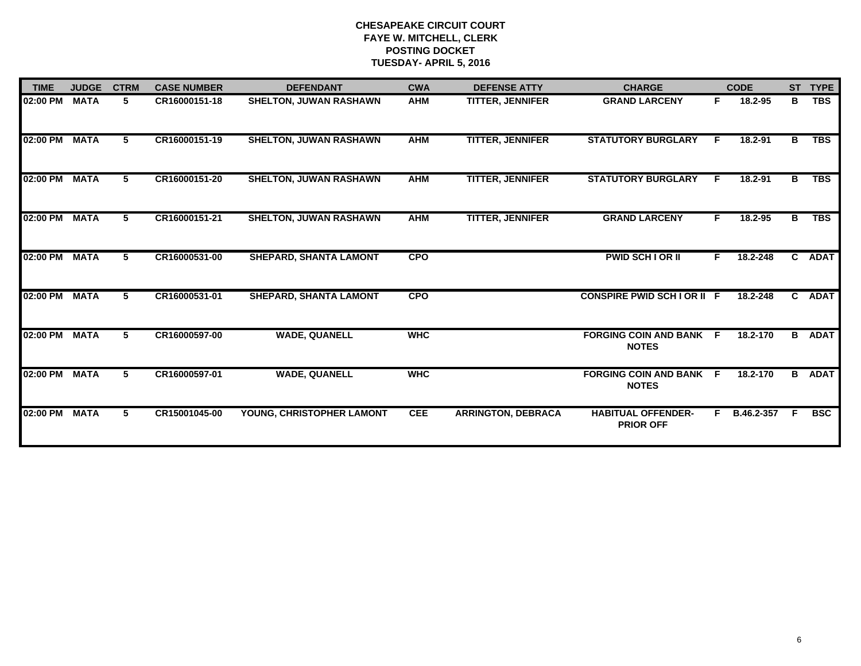| <b>TIME</b>   | <b>JUDGE</b> | <b>CTRM</b> | <b>CASE NUMBER</b> | <b>DEFENDANT</b>              | <b>CWA</b> | <b>DEFENSE ATTY</b>       | <b>CHARGE</b>                                  |    | <b>CODE</b> |    | ST TYPE       |
|---------------|--------------|-------------|--------------------|-------------------------------|------------|---------------------------|------------------------------------------------|----|-------------|----|---------------|
| 02:00 PM      | <b>MATA</b>  | 5           | CR16000151-18      | <b>SHELTON, JUWAN RASHAWN</b> | <b>AHM</b> | <b>TITTER, JENNIFER</b>   | <b>GRAND LARCENY</b>                           | F  | 18.2-95     | в  | <b>TBS</b>    |
| 02:00 PM      | <b>MATA</b>  | 5.          | CR16000151-19      | <b>SHELTON, JUWAN RASHAWN</b> | <b>AHM</b> | <b>TITTER, JENNIFER</b>   | <b>STATUTORY BURGLARY</b>                      |    | 18.2-91     | в  | <b>TBS</b>    |
| 02:00 PM      | <b>MATA</b>  | 5           | CR16000151-20      | <b>SHELTON, JUWAN RASHAWN</b> | <b>AHM</b> | <b>TITTER, JENNIFER</b>   | <b>STATUTORY BURGLARY</b>                      | E  | $18.2 - 91$ | B. | <b>TBS</b>    |
| 02:00 PM      | <b>MATA</b>  | 5           | CR16000151-21      | <b>SHELTON, JUWAN RASHAWN</b> | <b>AHM</b> | <b>TITTER, JENNIFER</b>   | <b>GRAND LARCENY</b>                           | F. | 18.2-95     | в  | <b>TBS</b>    |
| 02:00 PM      | <b>MATA</b>  | 5           | CR16000531-00      | <b>SHEPARD, SHANTA LAMONT</b> | <b>CPO</b> |                           | <b>PWID SCH LOR II</b>                         | F. | 18.2-248    | C. | <b>ADAT</b>   |
| 02:00 PM      | <b>MATA</b>  | 5           | CR16000531-01      | SHEPARD, SHANTA LAMONT        | <b>CPO</b> |                           | <b>CONSPIRE PWID SCH I OR II F</b>             |    | 18.2-248    | C. | <b>ADAT</b>   |
| 02:00 PM MATA |              | 5           | CR16000597-00      | <b>WADE, QUANELL</b>          | <b>WHC</b> |                           | <b>FORGING COIN AND BANK F</b><br><b>NOTES</b> |    | 18.2-170    |    | <b>B</b> ADAT |
| 02:00 PM      | <b>MATA</b>  | 5           | CR16000597-01      | <b>WADE, QUANELL</b>          | <b>WHC</b> |                           | <b>FORGING COIN AND BANK F</b><br><b>NOTES</b> |    | 18.2-170    |    | <b>B</b> ADAT |
| 02:00 PM      | <b>MATA</b>  | 5           | CR15001045-00      | YOUNG, CHRISTOPHER LAMONT     | <b>CEE</b> | <b>ARRINGTON, DEBRACA</b> | <b>HABITUAL OFFENDER-</b><br><b>PRIOR OFF</b>  | F. | B.46.2-357  | F. | <b>BSC</b>    |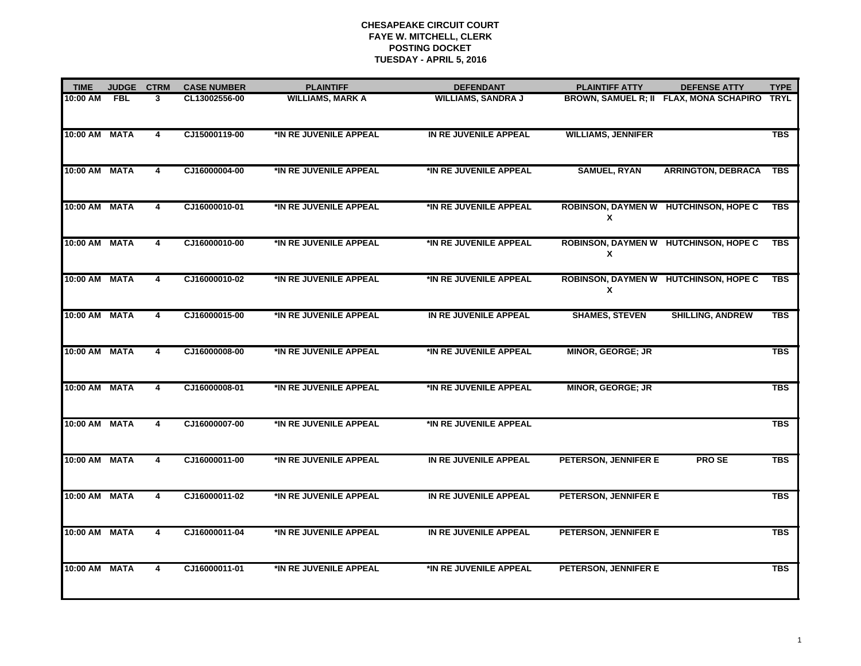| <b>TIME</b>   | <b>JUDGE</b> | <b>CTRM</b>             | <b>CASE NUMBER</b> | <b>PLAINTIFF</b>        | <b>DEFENDANT</b>          | <b>PLAINTIFF ATTY</b>                      | <b>DEFENSE ATTY</b>                     | <b>TYPE</b> |
|---------------|--------------|-------------------------|--------------------|-------------------------|---------------------------|--------------------------------------------|-----------------------------------------|-------------|
| 10:00 AM      | <b>FBL</b>   | 3                       | CL13002556-00      | <b>WILLIAMS, MARK A</b> | <b>WILLIAMS, SANDRA J</b> |                                            | BROWN, SAMUEL R; II FLAX, MONA SCHAPIRO | <b>TRYL</b> |
| 10:00 AM      | <b>MATA</b>  | 4                       | CJ15000119-00      | *IN RE JUVENILE APPEAL  | IN RE JUVENILE APPEAL     | <b>WILLIAMS, JENNIFER</b>                  |                                         | <b>TBS</b>  |
| 10:00 AM MATA |              | 4                       | CJ16000004-00      | *IN RE JUVENILE APPEAL  | *IN RE JUVENILE APPEAL    | <b>SAMUEL, RYAN</b>                        | <b>ARRINGTON, DEBRACA</b>               | TBS         |
| 10:00 AM      | <b>MATA</b>  | 4                       | CJ16000010-01      | *IN RE JUVENILE APPEAL  | *IN RE JUVENILE APPEAL    | X                                          | ROBINSON, DAYMEN W HUTCHINSON, HOPE C   | <b>TBS</b>  |
| 10:00 AM MATA |              | 4                       | CJ16000010-00      | *IN RE JUVENILE APPEAL  | *IN RE JUVENILE APPEAL    | ROBINSON, DAYMEN W HUTCHINSON, HOPE C<br>X |                                         | <b>TBS</b>  |
| 10:00 AM MATA |              | $\overline{4}$          | CJ16000010-02      | *IN RE JUVENILE APPEAL  | *IN RE JUVENILE APPEAL    | ROBINSON, DAYMEN W HUTCHINSON, HOPE C<br>X |                                         | <b>TBS</b>  |
| 10:00 AM MATA |              | 4                       | CJ16000015-00      | *IN RE JUVENILE APPEAL  | IN RE JUVENILE APPEAL     | <b>SHAMES, STEVEN</b>                      | <b>SHILLING, ANDREW</b>                 | <b>TBS</b>  |
| 10:00 AM MATA |              | 4                       | CJ16000008-00      | *IN RE JUVENILE APPEAL  | *IN RE JUVENILE APPEAL    | <b>MINOR, GEORGE; JR</b>                   |                                         | <b>TBS</b>  |
| 10:00 AM MATA |              | $\overline{4}$          | CJ16000008-01      | *IN RE JUVENILE APPEAL  | *IN RE JUVENILE APPEAL    | <b>MINOR, GEORGE; JR</b>                   |                                         | <b>TBS</b>  |
| 10:00 AM      | <b>MATA</b>  | 4                       | CJ16000007-00      | *IN RE JUVENILE APPEAL  | *IN RE JUVENILE APPEAL    |                                            |                                         | <b>TBS</b>  |
| 10:00 AM      | <b>MATA</b>  | 4                       | CJ16000011-00      | *IN RE JUVENILE APPEAL  | IN RE JUVENILE APPEAL     | PETERSON, JENNIFER E                       | <b>PROSE</b>                            | <b>TBS</b>  |
| 10:00 AM MATA |              | $\overline{\mathbf{4}}$ | CJ16000011-02      | *IN RE JUVENILE APPEAL  | IN RE JUVENILE APPEAL     | PETERSON, JENNIFER E                       |                                         | <b>TBS</b>  |
| 10:00 AM      | <b>MATA</b>  | 4                       | CJ16000011-04      | *IN RE JUVENILE APPEAL  | IN RE JUVENILE APPEAL     | PETERSON, JENNIFER E                       |                                         | <b>TBS</b>  |
| 10:00 AM      | <b>MATA</b>  | 4                       | CJ16000011-01      | *IN RE JUVENILE APPEAL  | *IN RE JUVENILE APPEAL    | PETERSON, JENNIFER E                       |                                         | <b>TBS</b>  |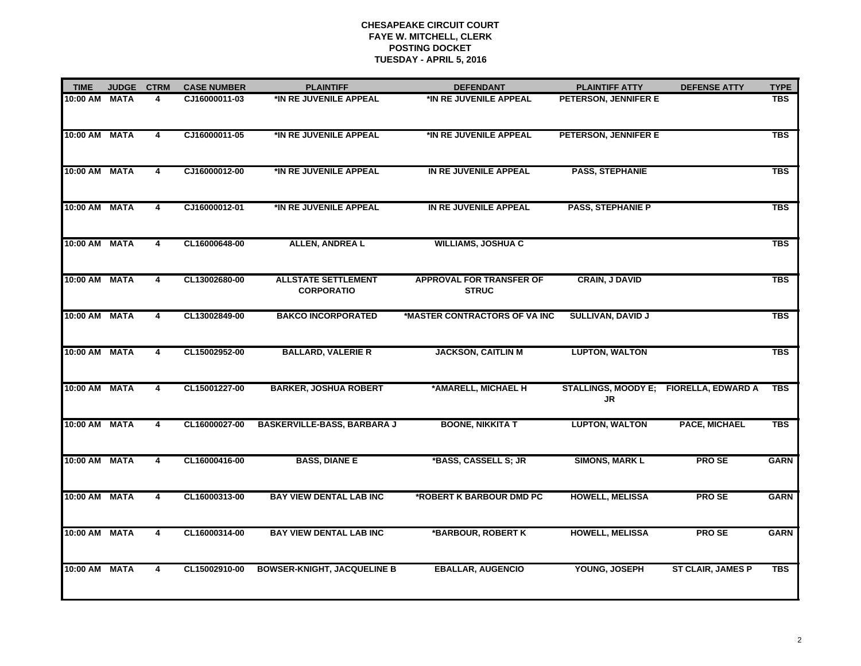| <b>TIME</b>   | <b>JUDGE</b> | <b>CTRM</b> | <b>CASE NUMBER</b> | <b>PLAINTIFF</b>                                | <b>DEFENDANT</b>                                | <b>PLAINTIFF ATTY</b>    | <b>DEFENSE ATTY</b>                    | <b>TYPE</b> |
|---------------|--------------|-------------|--------------------|-------------------------------------------------|-------------------------------------------------|--------------------------|----------------------------------------|-------------|
| 10:00 AM      | <b>MATA</b>  | 4           | CJ16000011-03      | *IN RE JUVENILE APPEAL                          | *IN RE JUVENILE APPEAL                          | PETERSON, JENNIFER E     |                                        | <b>TBS</b>  |
| 10:00 AM MATA |              | 4           | CJ16000011-05      | *IN RE JUVENILE APPEAL                          | *IN RE JUVENILE APPEAL                          | PETERSON, JENNIFER E     |                                        | <b>TBS</b>  |
| 10:00 AM      | <b>MATA</b>  | 4           | CJ16000012-00      | *IN RE JUVENILE APPEAL                          | IN RE JUVENILE APPEAL                           | <b>PASS, STEPHANIE</b>   |                                        | <b>TBS</b>  |
| 10:00 AM      | <b>MATA</b>  | 4           | CJ16000012-01      | *IN RE JUVENILE APPEAL                          | IN RE JUVENILE APPEAL                           | <b>PASS, STEPHANIE P</b> |                                        | <b>TBS</b>  |
| 10:00 AM      | <b>MATA</b>  | 4           | CL16000648-00      | <b>ALLEN, ANDREA L</b>                          | <b>WILLIAMS, JOSHUA C</b>                       |                          |                                        | <b>TBS</b>  |
| 10:00 AM      | <b>MATA</b>  | 4           | CL13002680-00      | <b>ALLSTATE SETTLEMENT</b><br><b>CORPORATIO</b> | <b>APPROVAL FOR TRANSFER OF</b><br><b>STRUC</b> | <b>CRAIN, J DAVID</b>    |                                        | <b>TBS</b>  |
| 10:00 AM MATA |              | 4           | CL13002849-00      | <b>BAKCO INCORPORATED</b>                       | *MASTER CONTRACTORS OF VA INC                   | SULLIVAN, DAVID J        |                                        | <b>TBS</b>  |
| 10:00 AM      | <b>MATA</b>  | 4           | CL15002952-00      | <b>BALLARD, VALERIE R</b>                       | <b>JACKSON, CAITLIN M</b>                       | <b>LUPTON, WALTON</b>    |                                        | <b>TBS</b>  |
| 10:00 AM MATA |              | 4           | CL15001227-00      | <b>BARKER, JOSHUA ROBERT</b>                    | *AMARELL, MICHAEL H                             | <b>JR</b>                | STALLINGS, MOODY E; FIORELLA, EDWARD A | <b>TBS</b>  |
| 10:00 AM      | <b>MATA</b>  | 4           | CL16000027-00      | <b>BASKERVILLE-BASS, BARBARA J</b>              | <b>BOONE, NIKKITA T</b>                         | <b>LUPTON, WALTON</b>    | <b>PACE, MICHAEL</b>                   | <b>TBS</b>  |
| 10:00 AM      | <b>MATA</b>  | 4           | CL16000416-00      | <b>BASS, DIANE E</b>                            | *BASS, CASSELL S; JR                            | <b>SIMONS, MARK L</b>    | <b>PROSE</b>                           | <b>GARN</b> |
| 10:00 AM MATA |              | 4           | CL16000313-00      | <b>BAY VIEW DENTAL LAB INC</b>                  | *ROBERT K BARBOUR DMD PC                        | <b>HOWELL, MELISSA</b>   | PRO SE                                 | <b>GARN</b> |
| 10:00 AM      | <b>MATA</b>  | 4           | CL16000314-00      | <b>BAY VIEW DENTAL LAB INC</b>                  | *BARBOUR, ROBERT K                              | <b>HOWELL, MELISSA</b>   | <b>PROSE</b>                           | <b>GARN</b> |
| 10:00 AM      | <b>MATA</b>  | 4           | CL15002910-00      | <b>BOWSER-KNIGHT, JACQUELINE B</b>              | <b>EBALLAR, AUGENCIO</b>                        | YOUNG, JOSEPH            | <b>ST CLAIR, JAMES P</b>               | <b>TBS</b>  |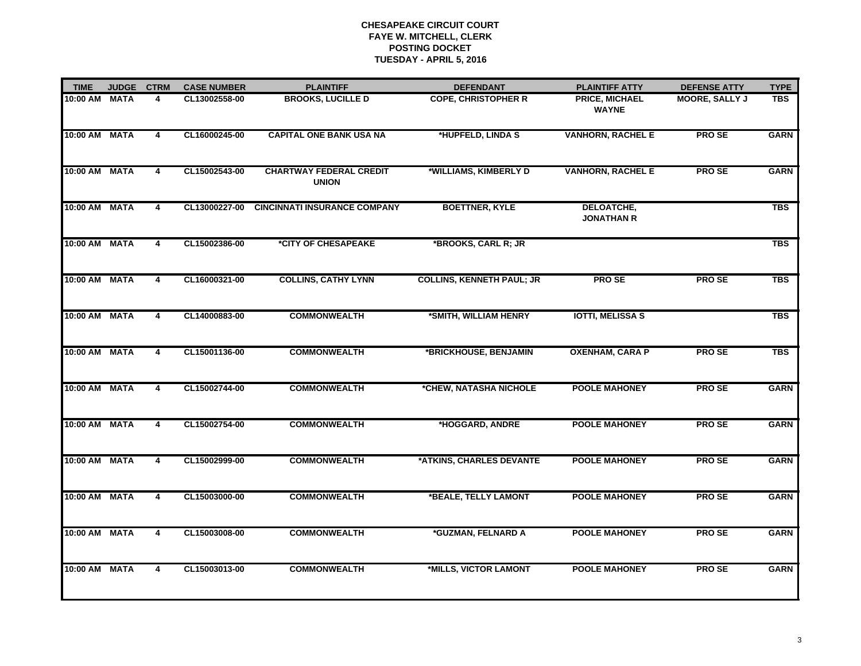| <b>TIME</b>   | <b>JUDGE</b> | <b>CTRM</b>    | <b>CASE NUMBER</b> | <b>PLAINTIFF</b>                               | <b>DEFENDANT</b>                 | <b>PLAINTIFF ATTY</b>                  | <b>DEFENSE ATTY</b>   | <b>TYPE</b> |
|---------------|--------------|----------------|--------------------|------------------------------------------------|----------------------------------|----------------------------------------|-----------------------|-------------|
| 10:00 AM      | <b>MATA</b>  | 4              | CL13002558-00      | <b>BROOKS, LUCILLE D</b>                       | <b>COPE, CHRISTOPHER R</b>       | PRICE, MICHAEL<br><b>WAYNE</b>         | <b>MOORE, SALLY J</b> | <b>TBS</b>  |
| 10:00 AM MATA |              | 4              | CL16000245-00      | <b>CAPITAL ONE BANK USA NA</b>                 | *HUPFELD, LINDA S                | <b>VANHORN, RACHEL E</b>               | <b>PROSE</b>          | <b>GARN</b> |
| 10:00 AM      | <b>MATA</b>  | 4              | CL15002543-00      | <b>CHARTWAY FEDERAL CREDIT</b><br><b>UNION</b> | *WILLIAMS, KIMBERLY D            | <b>VANHORN, RACHEL E</b>               | <b>PROSE</b>          | <b>GARN</b> |
| 10:00 AM      | <b>MATA</b>  | 4              | CL13000227-00      | <b>CINCINNATI INSURANCE COMPANY</b>            | <b>BOETTNER, KYLE</b>            | <b>DELOATCHE,</b><br><b>JONATHAN R</b> |                       | <b>TBS</b>  |
| 10:00 AM      | <b>MATA</b>  | 4              | CL15002386-00      | *CITY OF CHESAPEAKE                            | *BROOKS, CARL R; JR              |                                        |                       | <b>TBS</b>  |
| 10:00 AM      | <b>MATA</b>  | 4              | CL16000321-00      | <b>COLLINS, CATHY LYNN</b>                     | <b>COLLINS, KENNETH PAUL; JR</b> | <b>PROSE</b>                           | <b>PROSE</b>          | <b>TBS</b>  |
| 10:00 AM      | <b>MATA</b>  | 4              | CL14000883-00      | <b>COMMONWEALTH</b>                            | *SMITH, WILLIAM HENRY            | <b>IOTTI, MELISSA S</b>                |                       | <b>TBS</b>  |
| 10:00 AM      | <b>MATA</b>  | 4              | CL15001136-00      | <b>COMMONWEALTH</b>                            | *BRICKHOUSE, BENJAMIN            | <b>OXENHAM, CARA P</b>                 | <b>PROSE</b>          | <b>TBS</b>  |
| 10:00 AM      | <b>MATA</b>  | 4              | CL15002744-00      | <b>COMMONWEALTH</b>                            | *CHEW, NATASHA NICHOLE           | <b>POOLE MAHONEY</b>                   | <b>PROSE</b>          | <b>GARN</b> |
| 10:00 AM      | <b>MATA</b>  | 4              | CL15002754-00      | <b>COMMONWEALTH</b>                            | *HOGGARD, ANDRE                  | <b>POOLE MAHONEY</b>                   | <b>PROSE</b>          | <b>GARN</b> |
| 10:00 AM      | <b>MATA</b>  | $\overline{4}$ | CL15002999-00      | <b>COMMONWEALTH</b>                            | *ATKINS, CHARLES DEVANTE         | <b>POOLE MAHONEY</b>                   | <b>PROSE</b>          | <b>GARN</b> |
| 10:00 AM      | <b>MATA</b>  | 4              | CL15003000-00      | <b>COMMONWEALTH</b>                            | *BEALE, TELLY LAMONT             | <b>POOLE MAHONEY</b>                   | PRO SE                | <b>GARN</b> |
| 10:00 AM      | <b>MATA</b>  | 4              | CL15003008-00      | <b>COMMONWEALTH</b>                            | *GUZMAN, FELNARD A               | <b>POOLE MAHONEY</b>                   | <b>PROSE</b>          | <b>GARN</b> |
| 10:00 AM      | <b>MATA</b>  | $\overline{4}$ | CL15003013-00      | <b>COMMONWEALTH</b>                            | *MILLS, VICTOR LAMONT            | <b>POOLE MAHONEY</b>                   | <b>PROSE</b>          | <b>GARN</b> |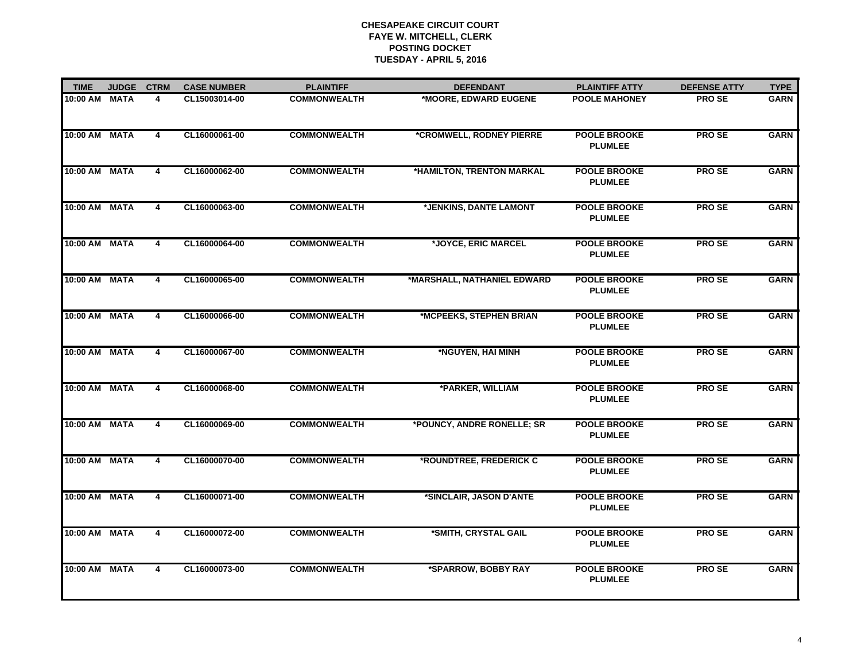| <b>TIME</b>   | <b>JUDGE</b> | <b>CTRM</b>             | <b>CASE NUMBER</b> | <b>PLAINTIFF</b>    | <b>DEFENDANT</b>            | <b>PLAINTIFF ATTY</b>                 | <b>DEFENSE ATTY</b> | <b>TYPE</b> |
|---------------|--------------|-------------------------|--------------------|---------------------|-----------------------------|---------------------------------------|---------------------|-------------|
| 10:00 AM      | <b>MATA</b>  | 4                       | CL15003014-00      | <b>COMMONWEALTH</b> | *MOORE, EDWARD EUGENE       | <b>POOLE MAHONEY</b>                  | <b>PROSE</b>        | <b>GARN</b> |
| 10:00 AM MATA |              | 4                       | CL16000061-00      | <b>COMMONWEALTH</b> | *CROMWELL, RODNEY PIERRE    | <b>POOLE BROOKE</b><br><b>PLUMLEE</b> | <b>PROSE</b>        | <b>GARN</b> |
| 10:00 AM MATA |              | 4                       | CL16000062-00      | <b>COMMONWEALTH</b> | *HAMILTON, TRENTON MARKAL   | <b>POOLE BROOKE</b><br><b>PLUMLEE</b> | <b>PROSE</b>        | <b>GARN</b> |
| 10:00 AM      | <b>MATA</b>  | 4                       | CL16000063-00      | <b>COMMONWEALTH</b> | *JENKINS, DANTE LAMONT      | <b>POOLE BROOKE</b><br><b>PLUMLEE</b> | <b>PROSE</b>        | <b>GARN</b> |
| 10:00 AM      | <b>MATA</b>  | 4                       | CL16000064-00      | <b>COMMONWEALTH</b> | *JOYCE, ERIC MARCEL         | <b>POOLE BROOKE</b><br><b>PLUMLEE</b> | <b>PROSE</b>        | <b>GARN</b> |
| 10:00 AM      | <b>MATA</b>  | 4                       | CL16000065-00      | <b>COMMONWEALTH</b> | *MARSHALL, NATHANIEL EDWARD | <b>POOLE BROOKE</b><br><b>PLUMLEE</b> | <b>PROSE</b>        | <b>GARN</b> |
| 10:00 AM MATA |              | 4                       | CL16000066-00      | <b>COMMONWEALTH</b> | *MCPEEKS, STEPHEN BRIAN     | <b>POOLE BROOKE</b><br><b>PLUMLEE</b> | <b>PROSE</b>        | <b>GARN</b> |
| 10:00 AM MATA |              | 4                       | CL16000067-00      | <b>COMMONWEALTH</b> | *NGUYEN, HAI MINH           | <b>POOLE BROOKE</b><br><b>PLUMLEE</b> | <b>PROSE</b>        | <b>GARN</b> |
| 10:00 AM      | <b>MATA</b>  | $\overline{4}$          | CL16000068-00      | <b>COMMONWEALTH</b> | *PARKER, WILLIAM            | <b>POOLE BROOKE</b><br><b>PLUMLEE</b> | <b>PROSE</b>        | <b>GARN</b> |
| 10:00 AM      | <b>MATA</b>  | 4                       | CL16000069-00      | <b>COMMONWEALTH</b> | *POUNCY, ANDRE RONELLE; SR  | <b>POOLE BROOKE</b><br><b>PLUMLEE</b> | <b>PROSE</b>        | <b>GARN</b> |
| 10:00 AM      | <b>MATA</b>  | 4                       | CL16000070-00      | <b>COMMONWEALTH</b> | *ROUNDTREE, FREDERICK C     | <b>POOLE BROOKE</b><br><b>PLUMLEE</b> | <b>PROSE</b>        | <b>GARN</b> |
| 10:00 AM MATA |              | 4                       | CL16000071-00      | <b>COMMONWEALTH</b> | *SINCLAIR, JASON D'ANTE     | <b>POOLE BROOKE</b><br><b>PLUMLEE</b> | <b>PROSE</b>        | <b>GARN</b> |
| 10:00 AM      | <b>MATA</b>  | 4                       | CL16000072-00      | <b>COMMONWEALTH</b> | *SMITH, CRYSTAL GAIL        | <b>POOLE BROOKE</b><br><b>PLUMLEE</b> | <b>PROSE</b>        | <b>GARN</b> |
| 10:00 AM      | <b>MATA</b>  | $\overline{\mathbf{4}}$ | CL16000073-00      | <b>COMMONWEALTH</b> | *SPARROW, BOBBY RAY         | <b>POOLE BROOKE</b><br><b>PLUMLEE</b> | <b>PROSE</b>        | <b>GARN</b> |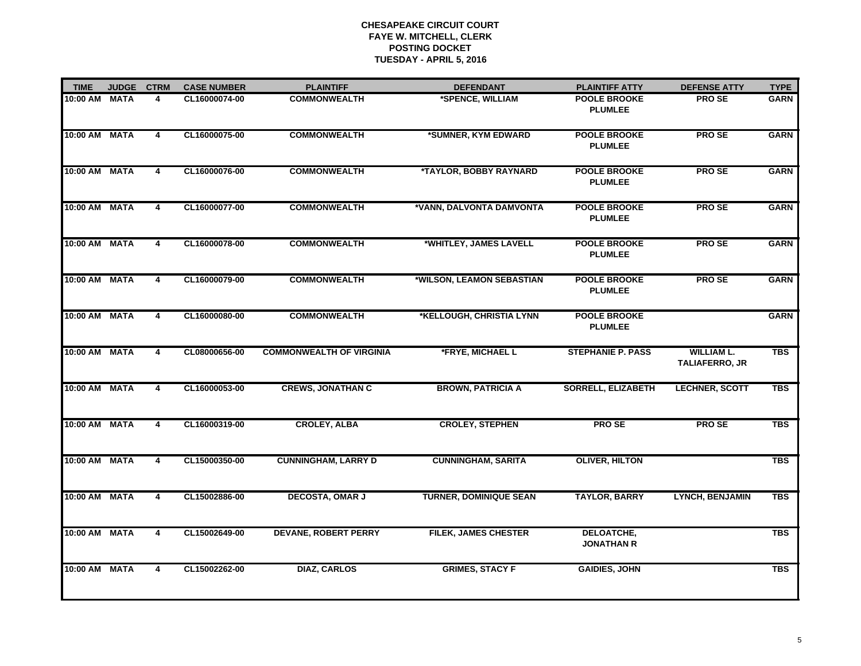| <b>TIME</b>   | <b>JUDGE</b> | <b>CTRM</b>             | <b>CASE NUMBER</b> | <b>PLAINTIFF</b>                | <b>DEFENDANT</b>              | <b>PLAINTIFF ATTY</b>                 | <b>DEFENSE ATTY</b>                        | <b>TYPE</b> |
|---------------|--------------|-------------------------|--------------------|---------------------------------|-------------------------------|---------------------------------------|--------------------------------------------|-------------|
| 10:00 AM MATA |              | 4                       | CL16000074-00      | <b>COMMONWEALTH</b>             | *SPENCE, WILLIAM              | <b>POOLE BROOKE</b><br><b>PLUMLEE</b> | <b>PROSE</b>                               | <b>GARN</b> |
| 10:00 AM      | <b>MATA</b>  | $\overline{\mathbf{4}}$ | CL16000075-00      | <b>COMMONWEALTH</b>             | *SUMNER, KYM EDWARD           | <b>POOLE BROOKE</b><br><b>PLUMLEE</b> | <b>PROSE</b>                               | <b>GARN</b> |
| 10:00 AM      | <b>MATA</b>  | 4                       | CL16000076-00      | <b>COMMONWEALTH</b>             | *TAYLOR, BOBBY RAYNARD        | <b>POOLE BROOKE</b><br><b>PLUMLEE</b> | <b>PROSE</b>                               | <b>GARN</b> |
| 10:00 AM MATA |              | 4                       | CL16000077-00      | <b>COMMONWEALTH</b>             | *VANN, DALVONTA DAMVONTA      | <b>POOLE BROOKE</b><br><b>PLUMLEE</b> | <b>PROSE</b>                               | <b>GARN</b> |
| 10:00 AM MATA |              | $\overline{\mathbf{4}}$ | CL16000078-00      | <b>COMMONWEALTH</b>             | *WHITLEY, JAMES LAVELL        | <b>POOLE BROOKE</b><br><b>PLUMLEE</b> | <b>PROSE</b>                               | <b>GARN</b> |
| 10:00 AM MATA |              | 4                       | CL16000079-00      | <b>COMMONWEALTH</b>             | *WILSON, LEAMON SEBASTIAN     | <b>POOLE BROOKE</b><br><b>PLUMLEE</b> | <b>PROSE</b>                               | <b>GARN</b> |
| 10:00 AM MATA |              | 4                       | CL16000080-00      | <b>COMMONWEALTH</b>             | *KELLOUGH, CHRISTIA LYNN      | <b>POOLE BROOKE</b><br><b>PLUMLEE</b> |                                            | <b>GARN</b> |
| 10:00 AM MATA |              | $\overline{4}$          | CL08000656-00      | <b>COMMONWEALTH OF VIRGINIA</b> | *FRYE, MICHAEL L              | <b>STEPHANIE P. PASS</b>              | <b>WILLIAM L.</b><br><b>TALIAFERRO, JR</b> | <b>TBS</b>  |
| 10:00 AM MATA |              | $\overline{4}$          | CL16000053-00      | <b>CREWS, JONATHAN C</b>        | <b>BROWN, PATRICIA A</b>      | <b>SORRELL, ELIZABETH</b>             | <b>LECHNER, SCOTT</b>                      | <b>TBS</b>  |
| 10:00 AM      | <b>MATA</b>  | 4                       | CL16000319-00      | <b>CROLEY, ALBA</b>             | <b>CROLEY, STEPHEN</b>        | <b>PROSE</b>                          | <b>PROSE</b>                               | <b>TBS</b>  |
| 10:00 AM      | <b>MATA</b>  | $\overline{\mathbf{4}}$ | CL15000350-00      | <b>CUNNINGHAM, LARRY D</b>      | <b>CUNNINGHAM, SARITA</b>     | <b>OLIVER, HILTON</b>                 |                                            | <b>TBS</b>  |
| 10:00 AM MATA |              | 4                       | CL15002886-00      | <b>DECOSTA, OMAR J</b>          | <b>TURNER, DOMINIQUE SEAN</b> | <b>TAYLOR, BARRY</b>                  | <b>LYNCH, BENJAMIN</b>                     | <b>TBS</b>  |
| 10:00 AM MATA |              | 4                       | CL15002649-00      | <b>DEVANE, ROBERT PERRY</b>     | <b>FILEK, JAMES CHESTER</b>   | DELOATCHE,<br><b>JONATHAN R</b>       |                                            | <b>TBS</b>  |
| 10:00 AM      | <b>MATA</b>  | $\overline{4}$          | CL15002262-00      | <b>DIAZ, CARLOS</b>             | <b>GRIMES, STACY F</b>        | <b>GAIDIES, JOHN</b>                  |                                            | <b>TBS</b>  |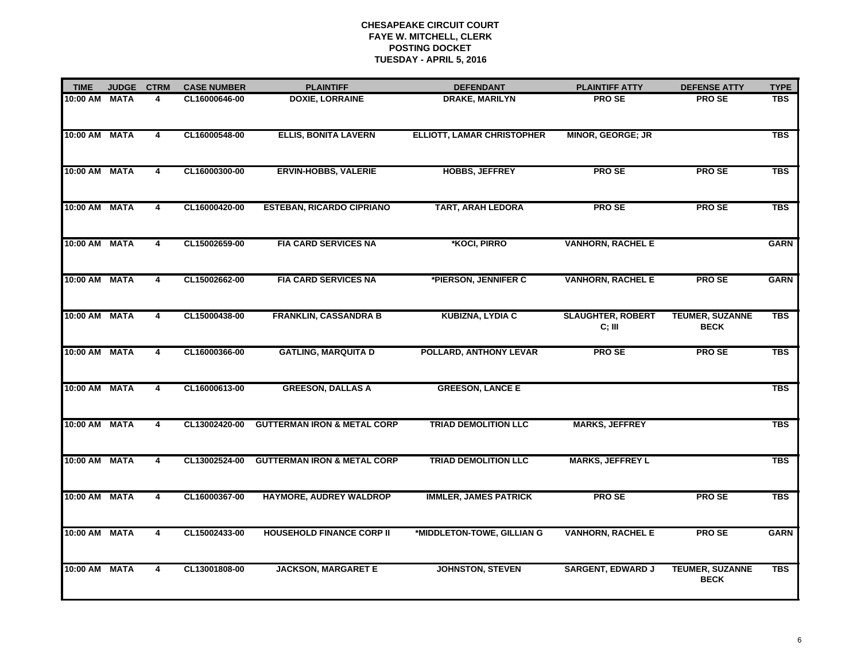| <b>TIME</b>   | <b>JUDGE</b> | <b>CTRM</b> | <b>CASE NUMBER</b> | <b>PLAINTIFF</b>                       | <b>DEFENDANT</b>                  | <b>PLAINTIFF ATTY</b>              | <b>DEFENSE ATTY</b>                   | <b>TYPE</b> |
|---------------|--------------|-------------|--------------------|----------------------------------------|-----------------------------------|------------------------------------|---------------------------------------|-------------|
| 10:00 AM      | <b>MATA</b>  | 4           | CL16000646-00      | <b>DOXIE, LORRAINE</b>                 | <b>DRAKE, MARILYN</b>             | <b>PROSE</b>                       | <b>PROSE</b>                          | <b>TBS</b>  |
| 10:00 AM MATA |              | 4           | CL16000548-00      | <b>ELLIS, BONITA LAVERN</b>            | <b>ELLIOTT, LAMAR CHRISTOPHER</b> | <b>MINOR, GEORGE; JR</b>           |                                       | <b>TBS</b>  |
| 10:00 AM MATA |              | 4           | CL16000300-00      | <b>ERVIN-HOBBS, VALERIE</b>            | <b>HOBBS, JEFFREY</b>             | <b>PROSE</b>                       | <b>PROSE</b>                          | <b>TBS</b>  |
| 10:00 AM      | <b>MATA</b>  | 4           | CL16000420-00      | <b>ESTEBAN, RICARDO CIPRIANO</b>       | <b>TART, ARAH LEDORA</b>          | <b>PROSE</b>                       | <b>PROSE</b>                          | <b>TBS</b>  |
| 10:00 AM      | <b>MATA</b>  | 4           | CL15002659-00      | <b>FIA CARD SERVICES NA</b>            | *KOCI, PIRRO                      | <b>VANHORN, RACHEL E</b>           |                                       | <b>GARN</b> |
| 10:00 AM      | <b>MATA</b>  | 4           | CL15002662-00      | <b>FIA CARD SERVICES NA</b>            | *PIERSON, JENNIFER C              | <b>VANHORN, RACHEL E</b>           | <b>PROSE</b>                          | <b>GARN</b> |
| 10:00 AM MATA |              | 4           | CL15000438-00      | <b>FRANKLIN, CASSANDRA B</b>           | <b>KUBIZNA, LYDIA C</b>           | <b>SLAUGHTER, ROBERT</b><br>C; III | <b>TEUMER, SUZANNE</b><br><b>BECK</b> | <b>TBS</b>  |
| 10:00 AM      | <b>MATA</b>  | 4           | CL16000366-00      | <b>GATLING, MARQUITA D</b>             | <b>POLLARD, ANTHONY LEVAR</b>     | PRO SE                             | <b>PROSE</b>                          | <b>TBS</b>  |
| 10:00 AM MATA |              | 4           | CL16000613-00      | <b>GREESON, DALLAS A</b>               | <b>GREESON, LANCE E</b>           |                                    |                                       | <b>TBS</b>  |
| 10:00 AM      | <b>MATA</b>  | 4           | CL13002420-00      | <b>GUTTERMAN IRON &amp; METAL CORP</b> | <b>TRIAD DEMOLITION LLC</b>       | <b>MARKS, JEFFREY</b>              |                                       | <b>TBS</b>  |
| 10:00 AM MATA |              | 4           | CL13002524-00      | <b>GUTTERMAN IRON &amp; METAL CORP</b> | <b>TRIAD DEMOLITION LLC</b>       | <b>MARKS, JEFFREY L</b>            |                                       | <b>TBS</b>  |
| 10:00 AM      | <b>MATA</b>  | 4           | CL16000367-00      | HAYMORE, AUDREY WALDROP                | <b>IMMLER, JAMES PATRICK</b>      | <b>PROSE</b>                       | <b>PROSE</b>                          | <b>TBS</b>  |
| 10:00 AM      | <b>MATA</b>  | 4           | CL15002433-00      | <b>HOUSEHOLD FINANCE CORP II</b>       | *MIDDLETON-TOWE, GILLIAN G        | <b>VANHORN, RACHEL E</b>           | <b>PROSE</b>                          | <b>GARN</b> |
| 10:00 AM MATA |              | 4           | CL13001808-00      | <b>JACKSON, MARGARET E</b>             | <b>JOHNSTON, STEVEN</b>           | <b>SARGENT, EDWARD J</b>           | <b>TEUMER, SUZANNE</b><br><b>BECK</b> | <b>TBS</b>  |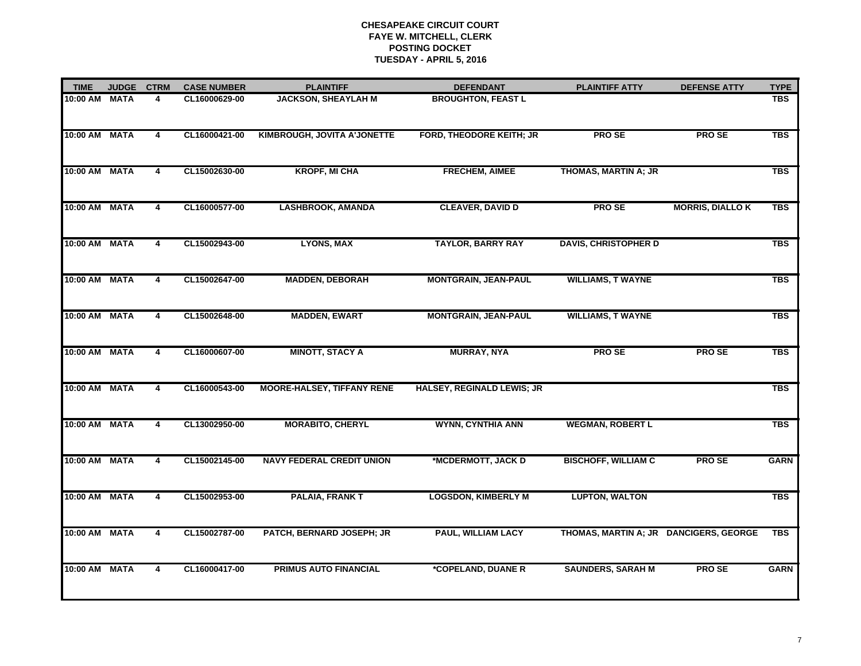| <b>TIME</b>   | <b>JUDGE</b> | <b>CTRM</b>             | <b>CASE NUMBER</b> | <b>PLAINTIFF</b>                   | <b>DEFENDANT</b>                  | <b>PLAINTIFF ATTY</b>                  | <b>DEFENSE ATTY</b>     | <b>TYPE</b> |
|---------------|--------------|-------------------------|--------------------|------------------------------------|-----------------------------------|----------------------------------------|-------------------------|-------------|
| 10:00 AM MATA |              | 4                       | CL16000629-00      | <b>JACKSON, SHEAYLAH M</b>         | <b>BROUGHTON, FEAST L</b>         |                                        |                         | <b>TBS</b>  |
| 10:00 AM MATA |              | 4                       | CL16000421-00      | <b>KIMBROUGH, JOVITA A'JONETTE</b> | FORD, THEODORE KEITH; JR          | <b>PROSE</b>                           | <b>PROSE</b>            | <b>TBS</b>  |
| 10:00 AM MATA |              | 4                       | CL15002630-00      | <b>KROPF, MI CHA</b>               | <b>FRECHEM, AIMEE</b>             | THOMAS, MARTIN A; JR                   |                         | <b>TBS</b>  |
| 10:00 AM      | <b>MATA</b>  | 4                       | CL16000577-00      | <b>LASHBROOK, AMANDA</b>           | <b>CLEAVER, DAVID D</b>           | <b>PROSE</b>                           | <b>MORRIS, DIALLO K</b> | <b>TBS</b>  |
| 10:00 AM MATA |              | 4                       | CL15002943-00      | <b>LYONS, MAX</b>                  | <b>TAYLOR, BARRY RAY</b>          | <b>DAVIS, CHRISTOPHER D</b>            |                         | <b>TBS</b>  |
| 10:00 AM MATA |              | 4                       | CL15002647-00      | <b>MADDEN, DEBORAH</b>             | <b>MONTGRAIN, JEAN-PAUL</b>       | <b>WILLIAMS, T WAYNE</b>               |                         | <b>TBS</b>  |
| 10:00 AM MATA |              | 4                       | CL15002648-00      | <b>MADDEN, EWART</b>               | <b>MONTGRAIN, JEAN-PAUL</b>       | <b>WILLIAMS, T WAYNE</b>               |                         | <b>TBS</b>  |
| 10:00 AM MATA |              | $\overline{\mathbf{4}}$ | CL16000607-00      | <b>MINOTT, STACY A</b>             | <b>MURRAY, NYA</b>                | <b>PROSE</b>                           | <b>PROSE</b>            | <b>TBS</b>  |
| 10:00 AM MATA |              | $\overline{4}$          | CL16000543-00      | <b>MOORE-HALSEY, TIFFANY RENE</b>  | <b>HALSEY, REGINALD LEWIS; JR</b> |                                        |                         | <b>TBS</b>  |
| 10:00 AM MATA |              | 4                       | CL13002950-00      | <b>MORABITO, CHERYL</b>            | <b>WYNN, CYNTHIA ANN</b>          | <b>WEGMAN, ROBERT L</b>                |                         | <b>TBS</b>  |
| 10:00 AM      | <b>MATA</b>  | 4                       | CL15002145-00      | <b>NAVY FEDERAL CREDIT UNION</b>   | *MCDERMOTT, JACK D                | <b>BISCHOFF, WILLIAM C</b>             | <b>PROSE</b>            | <b>GARN</b> |
| 10:00 AM MATA |              | 4                       | CL15002953-00      | <b>PALAIA, FRANK T</b>             | <b>LOGSDON, KIMBERLY M</b>        | <b>LUPTON, WALTON</b>                  |                         | <b>TBS</b>  |
| 10:00 AM      | <b>MATA</b>  | $\overline{\mathbf{4}}$ | CL15002787-00      | PATCH, BERNARD JOSEPH; JR          | <b>PAUL, WILLIAM LACY</b>         | THOMAS, MARTIN A; JR DANCIGERS, GEORGE |                         | <b>TBS</b>  |
| 10:00 AM MATA |              | 4                       | CL16000417-00      | <b>PRIMUS AUTO FINANCIAL</b>       | *COPELAND, DUANE R                | <b>SAUNDERS, SARAH M</b>               | <b>PROSE</b>            | <b>GARN</b> |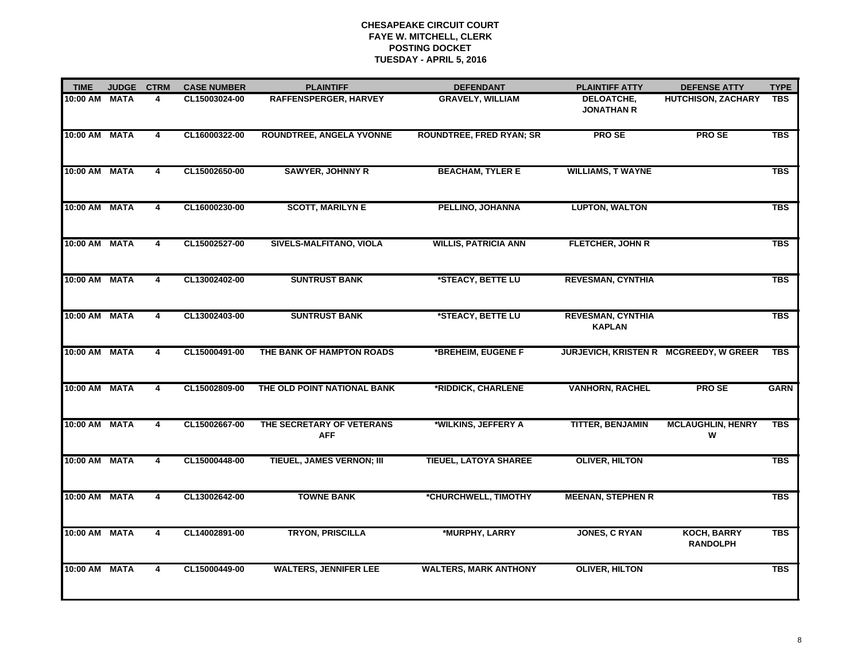| <b>TIME</b>   | <b>JUDGE</b> | <b>CTRM</b>    | <b>CASE NUMBER</b> | <b>PLAINTIFF</b>                        | <b>DEFENDANT</b>                | <b>PLAINTIFF ATTY</b>                     | <b>DEFENSE ATTY</b>                    | <b>TYPE</b> |
|---------------|--------------|----------------|--------------------|-----------------------------------------|---------------------------------|-------------------------------------------|----------------------------------------|-------------|
| 10:00 AM      | <b>MATA</b>  | 4              | CL15003024-00      | RAFFENSPERGER, HARVEY                   | <b>GRAVELY, WILLIAM</b>         | DELOATCHE,<br><b>JONATHAN R</b>           | <b>HUTCHISON, ZACHARY</b>              | <b>TBS</b>  |
| 10:00 AM      | <b>MATA</b>  | 4              | CL16000322-00      | <b>ROUNDTREE, ANGELA YVONNE</b>         | <b>ROUNDTREE, FRED RYAN; SR</b> | <b>PROSE</b>                              | <b>PROSE</b>                           | <b>TBS</b>  |
| 10:00 AM      | <b>MATA</b>  | 4              | CL15002650-00      | <b>SAWYER, JOHNNY R</b>                 | <b>BEACHAM, TYLER E</b>         | <b>WILLIAMS, T WAYNE</b>                  |                                        | <b>TBS</b>  |
| 10:00 AM MATA |              | 4              | CL16000230-00      | <b>SCOTT, MARILYN E</b>                 | PELLINO, JOHANNA                | <b>LUPTON, WALTON</b>                     |                                        | <b>TBS</b>  |
| 10:00 AM      | <b>MATA</b>  | 4              | CL15002527-00      | SIVELS-MALFITANO, VIOLA                 | <b>WILLIS, PATRICIA ANN</b>     | <b>FLETCHER, JOHN R</b>                   |                                        | <b>TBS</b>  |
| 10:00 AM MATA |              | 4              | CL13002402-00      | <b>SUNTRUST BANK</b>                    | *STEACY, BETTE LU               | <b>REVESMAN, CYNTHIA</b>                  |                                        | <b>TBS</b>  |
| 10:00 AM      | <b>MATA</b>  | 4              | CL13002403-00      | <b>SUNTRUST BANK</b>                    | *STEACY, BETTE LU               | <b>REVESMAN, CYNTHIA</b><br><b>KAPLAN</b> |                                        | <b>TBS</b>  |
| 10:00 AM      | <b>MATA</b>  | 4              | CL15000491-00      | THE BANK OF HAMPTON ROADS               | *BREHEIM, EUGENE F              |                                           | JURJEVICH, KRISTEN R MCGREEDY, W GREER | <b>TBS</b>  |
| 10:00 AM MATA |              | 4              | CL15002809-00      | THE OLD POINT NATIONAL BANK             | *RIDDICK, CHARLENE              | <b>VANHORN, RACHEL</b>                    | <b>PROSE</b>                           | <b>GARN</b> |
| 10:00 AM      | <b>MATA</b>  | 4              | CL15002667-00      | THE SECRETARY OF VETERANS<br><b>AFF</b> | *WILKINS, JEFFERY A             | <b>TITTER, BENJAMIN</b>                   | <b>MCLAUGHLIN, HENRY</b><br>W          | <b>TBS</b>  |
| 10:00 AM MATA |              | 4              | CL15000448-00      | TIEUEL, JAMES VERNON; III               | <b>TIEUEL, LATOYA SHAREE</b>    | <b>OLIVER, HILTON</b>                     |                                        | <b>TBS</b>  |
| 10:00 AM      | <b>MATA</b>  | $\overline{4}$ | CL13002642-00      | <b>TOWNE BANK</b>                       | *CHURCHWELL, TIMOTHY            | <b>MEENAN, STEPHEN R</b>                  |                                        | <b>TBS</b>  |
| 10:00 AM      | <b>MATA</b>  | 4              | CL14002891-00      | <b>TRYON, PRISCILLA</b>                 | *MURPHY, LARRY                  | <b>JONES, C RYAN</b>                      | <b>KOCH, BARRY</b><br><b>RANDOLPH</b>  | <b>TBS</b>  |
| 10:00 AM      | <b>MATA</b>  | 4              | CL15000449-00      | <b>WALTERS, JENNIFER LEE</b>            | <b>WALTERS, MARK ANTHONY</b>    | <b>OLIVER, HILTON</b>                     |                                        | <b>TBS</b>  |